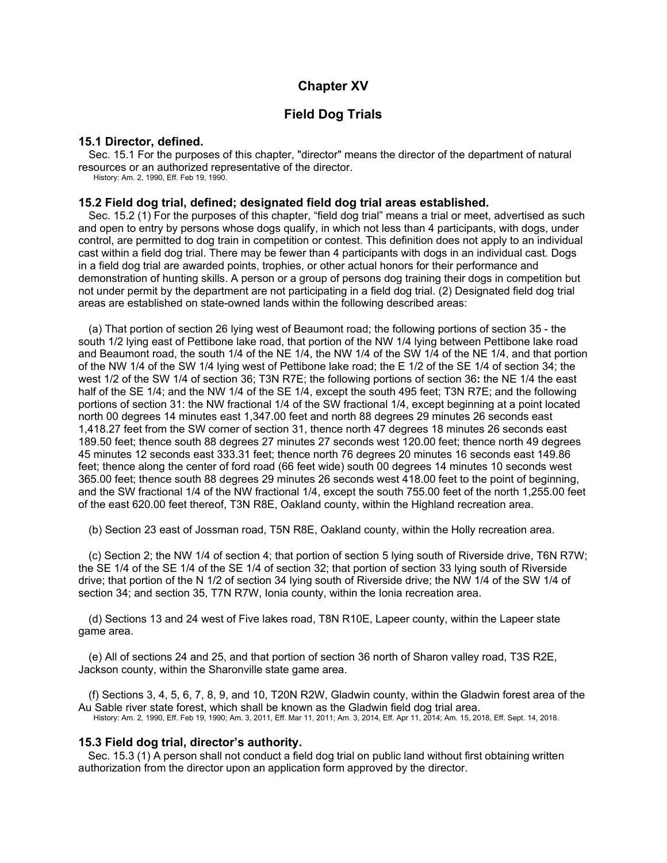# **Chapter XV**

# **Field Dog Trials**

### **15.1 Director, defined.**

Sec. 15.1 For the purposes of this chapter, "director" means the director of the department of natural resources or an authorized representative of the director.

History: Am. 2, 1990, Eff. Feb 19, 1990.

### **15.2 Field dog trial, defined; designated field dog trial areas established.**

Sec. 15.2 (1) For the purposes of this chapter, "field dog trial" means a trial or meet, advertised as such and open to entry by persons whose dogs qualify, in which not less than 4 participants, with dogs, under control, are permitted to dog train in competition or contest. This definition does not apply to an individual cast within a field dog trial. There may be fewer than 4 participants with dogs in an individual cast. Dogs in a field dog trial are awarded points, trophies, or other actual honors for their performance and demonstration of hunting skills. A person or a group of persons dog training their dogs in competition but not under permit by the department are not participating in a field dog trial. (2) Designated field dog trial areas are established on state-owned lands within the following described areas:

(a) That portion of section 26 lying west of Beaumont road; the following portions of section 35 - the south 1/2 lying east of Pettibone lake road, that portion of the NW 1/4 lying between Pettibone lake road and Beaumont road, the south 1/4 of the NE 1/4, the NW 1/4 of the SW 1/4 of the NE 1/4, and that portion of the NW 1/4 of the SW 1/4 lying west of Pettibone lake road; the E 1/2 of the SE 1/4 of section 34; the west 1/2 of the SW 1/4 of section 36; T3N R7E; the following portions of section 36**:** the NE 1/4 the east half of the SE 1/4; and the NW 1/4 of the SE 1/4, except the south 495 feet; T3N R7E; and the following portions of section 31: the NW fractional 1/4 of the SW fractional 1/4, except beginning at a point located north 00 degrees 14 minutes east 1,347.00 feet and north 88 degrees 29 minutes 26 seconds east 1,418.27 feet from the SW corner of section 31, thence north 47 degrees 18 minutes 26 seconds east 189.50 feet; thence south 88 degrees 27 minutes 27 seconds west 120.00 feet; thence north 49 degrees 45 minutes 12 seconds east 333.31 feet; thence north 76 degrees 20 minutes 16 seconds east 149.86 feet; thence along the center of ford road (66 feet wide) south 00 degrees 14 minutes 10 seconds west 365.00 feet; thence south 88 degrees 29 minutes 26 seconds west 418.00 feet to the point of beginning, and the SW fractional 1/4 of the NW fractional 1/4, except the south 755.00 feet of the north 1,255.00 feet of the east 620.00 feet thereof, T3N R8E, Oakland county, within the Highland recreation area.

(b) Section 23 east of Jossman road, T5N R8E, Oakland county, within the Holly recreation area.

(c) Section 2; the NW 1/4 of section 4; that portion of section 5 lying south of Riverside drive, T6N R7W; the SE 1/4 of the SE 1/4 of the SE 1/4 of section 32; that portion of section 33 lying south of Riverside drive; that portion of the N 1/2 of section 34 lying south of Riverside drive; the NW 1/4 of the SW 1/4 of section 34; and section 35, T7N R7W, Ionia county, within the Ionia recreation area.

(d) Sections 13 and 24 west of Five lakes road, T8N R10E, Lapeer county, within the Lapeer state game area.

(e) All of sections 24 and 25, and that portion of section 36 north of Sharon valley road, T3S R2E, Jackson county, within the Sharonville state game area.

(f) Sections 3, 4, 5, 6, 7, 8, 9, and 10, T20N R2W, Gladwin county, within the Gladwin forest area of the Au Sable river state forest, which shall be known as the Gladwin field dog trial area. History: Am. 2, 1990, Eff. Feb 19, 1990; Am. 3, 2011, Eff. Mar 11, 2011; Am. 3, 2014, Eff. Apr 11, 2014; Am. 15, 2018, Eff. Sept. 14, 2018.

## **15.3 Field dog trial, director's authority.**

Sec. 15.3 (1) A person shall not conduct a field dog trial on public land without first obtaining written authorization from the director upon an application form approved by the director.